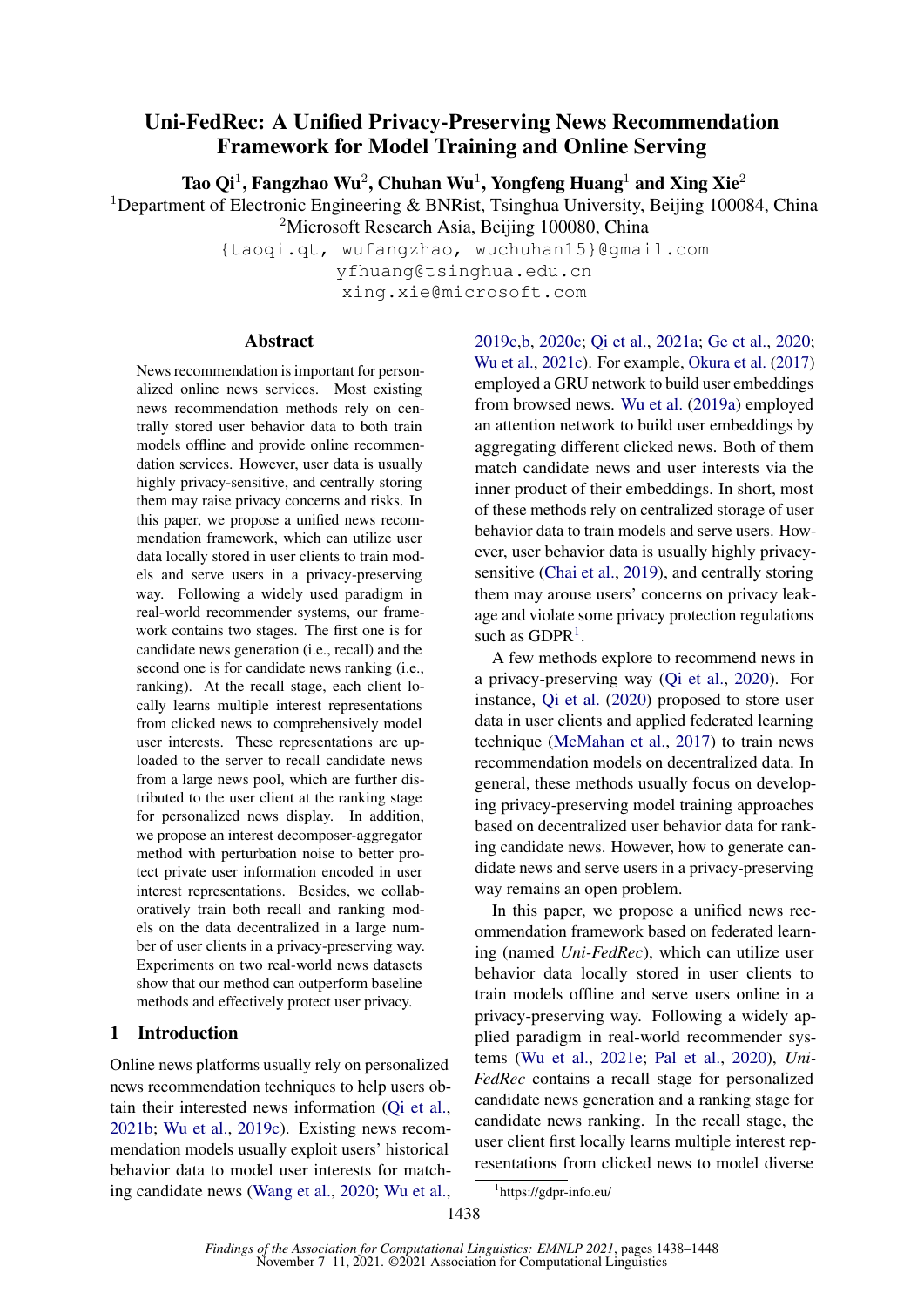# Uni-FedRec: A Unified Privacy-Preserving News Recommendation Framework for Model Training and Online Serving

Tao Qi<sup>1</sup>, Fangzhao Wu<sup>2</sup>, Chuhan Wu<sup>1</sup>, Yongfeng Huang<sup>1</sup> and Xing Xie<sup>2</sup>

<sup>1</sup>Department of Electronic Engineering & BNRist, Tsinghua University, Beijing 100084, China <sup>2</sup>Microsoft Research Asia, Beijing 100080, China

> {taoqi.qt, wufangzhao, wuchuhan15}@gmail.com yfhuang@tsinghua.edu.cn xing.xie@microsoft.com

## Abstract

News recommendation is important for personalized online news services. Most existing news recommendation methods rely on centrally stored user behavior data to both train models offline and provide online recommendation services. However, user data is usually highly privacy-sensitive, and centrally storing them may raise privacy concerns and risks. In this paper, we propose a unified news recommendation framework, which can utilize user data locally stored in user clients to train models and serve users in a privacy-preserving way. Following a widely used paradigm in real-world recommender systems, our framework contains two stages. The first one is for candidate news generation (i.e., recall) and the second one is for candidate news ranking (i.e., ranking). At the recall stage, each client locally learns multiple interest representations from clicked news to comprehensively model user interests. These representations are uploaded to the server to recall candidate news from a large news pool, which are further distributed to the user client at the ranking stage for personalized news display. In addition, we propose an interest decomposer-aggregator method with perturbation noise to better protect private user information encoded in user interest representations. Besides, we collaboratively train both recall and ranking models on the data decentralized in a large number of user clients in a privacy-preserving way. Experiments on two real-world news datasets show that our method can outperform baseline methods and effectively protect user privacy.

# 1 Introduction

Online news platforms usually rely on personalized news recommendation techniques to help users obtain their interested news information [\(Qi et al.,](#page-9-0) [2021b;](#page-9-0) [Wu et al.,](#page-10-0) [2019c\)](#page-10-0). Existing news recommendation models usually exploit users' historical behavior data to model user interests for matching candidate news [\(Wang et al.,](#page-10-1) [2020;](#page-10-1) [Wu et al.,](#page-10-0) [2019c](#page-10-0)[,b,](#page-10-2) [2020c;](#page-10-3) [Qi et al.,](#page-9-1) [2021a;](#page-9-1) [Ge et al.,](#page-9-2) [2020;](#page-9-2) [Wu et al.,](#page-10-4) [2021c\)](#page-10-4). For example, [Okura et al.](#page-9-3) [\(2017\)](#page-9-3) employed a GRU network to build user embeddings from browsed news. [Wu et al.](#page-10-5) [\(2019a\)](#page-10-5) employed an attention network to build user embeddings by aggregating different clicked news. Both of them match candidate news and user interests via the inner product of their embeddings. In short, most of these methods rely on centralized storage of user behavior data to train models and serve users. However, user behavior data is usually highly privacysensitive [\(Chai et al.,](#page-9-4) [2019\)](#page-9-4), and centrally storing them may arouse users' concerns on privacy leakage and violate some privacy protection regulations such as  $GDPR<sup>1</sup>$  $GDPR<sup>1</sup>$  $GDPR<sup>1</sup>$ .

A few methods explore to recommend news in a privacy-preserving way [\(Qi et al.,](#page-9-5) [2020\)](#page-9-5). For instance, [Qi et al.](#page-9-5) [\(2020\)](#page-9-5) proposed to store user data in user clients and applied federated learning technique [\(McMahan et al.,](#page-9-6) [2017\)](#page-9-6) to train news recommendation models on decentralized data. In general, these methods usually focus on developing privacy-preserving model training approaches based on decentralized user behavior data for ranking candidate news. However, how to generate candidate news and serve users in a privacy-preserving way remains an open problem.

In this paper, we propose a unified news recommendation framework based on federated learning (named *Uni-FedRec*), which can utilize user behavior data locally stored in user clients to train models offline and serve users online in a privacy-preserving way. Following a widely applied paradigm in real-world recommender systems [\(Wu et al.,](#page-10-6) [2021e;](#page-10-6) [Pal et al.,](#page-9-7) [2020\)](#page-9-7), *Uni-FedRec* contains a recall stage for personalized candidate news generation and a ranking stage for candidate news ranking. In the recall stage, the user client first locally learns multiple interest representations from clicked news to model diverse

<span id="page-0-0"></span><sup>1</sup> https://gdpr-info.eu/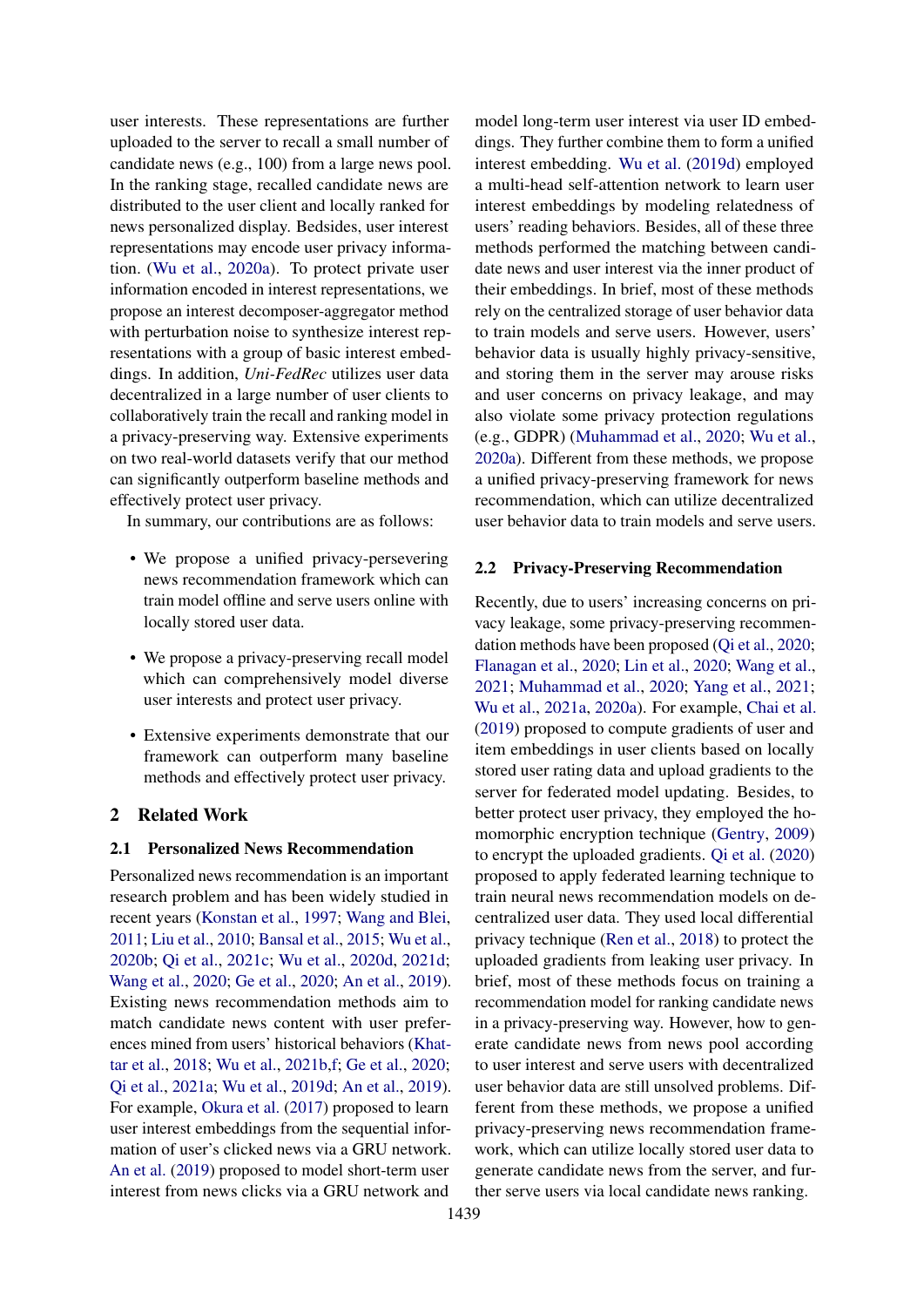user interests. These representations are further uploaded to the server to recall a small number of candidate news (e.g., 100) from a large news pool. In the ranking stage, recalled candidate news are distributed to the user client and locally ranked for news personalized display. Bedsides, user interest representations may encode user privacy information. [\(Wu et al.,](#page-10-7) [2020a\)](#page-10-7). To protect private user information encoded in interest representations, we propose an interest decomposer-aggregator method with perturbation noise to synthesize interest representations with a group of basic interest embeddings. In addition, *Uni-FedRec* utilizes user data decentralized in a large number of user clients to collaboratively train the recall and ranking model in a privacy-preserving way. Extensive experiments on two real-world datasets verify that our method can significantly outperform baseline methods and effectively protect user privacy.

In summary, our contributions are as follows:

- We propose a unified privacy-persevering news recommendation framework which can train model offline and serve users online with locally stored user data.
- We propose a privacy-preserving recall model which can comprehensively model diverse user interests and protect user privacy.
- Extensive experiments demonstrate that our framework can outperform many baseline methods and effectively protect user privacy.

# 2 Related Work

#### 2.1 Personalized News Recommendation

Personalized news recommendation is an important research problem and has been widely studied in recent years [\(Konstan et al.,](#page-9-8) [1997;](#page-9-8) [Wang and Blei,](#page-10-8) [2011;](#page-10-8) [Liu et al.,](#page-9-9) [2010;](#page-9-9) [Bansal et al.,](#page-9-10) [2015;](#page-9-10) [Wu et al.,](#page-10-9) [2020b;](#page-10-9) [Qi et al.,](#page-9-11) [2021c;](#page-9-11) [Wu et al.,](#page-10-10) [2020d,](#page-10-10) [2021d;](#page-10-11) [Wang et al.,](#page-10-1) [2020;](#page-10-1) [Ge et al.,](#page-9-2) [2020;](#page-9-2) [An et al.,](#page-9-12) [2019\)](#page-9-12). Existing news recommendation methods aim to match candidate news content with user preferences mined from users' historical behaviors [\(Khat](#page-9-13)[tar et al.,](#page-9-13) [2018;](#page-9-13) [Wu et al.,](#page-10-12) [2021b,](#page-10-12)[f;](#page-10-13) [Ge et al.,](#page-9-2) [2020;](#page-9-2) [Qi et al.,](#page-9-1) [2021a;](#page-9-1) [Wu et al.,](#page-10-14) [2019d;](#page-10-14) [An et al.,](#page-9-12) [2019\)](#page-9-12). For example, [Okura et al.](#page-9-3) [\(2017\)](#page-9-3) proposed to learn user interest embeddings from the sequential information of user's clicked news via a GRU network. [An et al.](#page-9-12) [\(2019\)](#page-9-12) proposed to model short-term user interest from news clicks via a GRU network and

model long-term user interest via user ID embeddings. They further combine them to form a unified interest embedding. [Wu et al.](#page-10-14) [\(2019d\)](#page-10-14) employed a multi-head self-attention network to learn user interest embeddings by modeling relatedness of users' reading behaviors. Besides, all of these three methods performed the matching between candidate news and user interest via the inner product of their embeddings. In brief, most of these methods rely on the centralized storage of user behavior data to train models and serve users. However, users' behavior data is usually highly privacy-sensitive, and storing them in the server may arouse risks and user concerns on privacy leakage, and may also violate some privacy protection regulations (e.g., GDPR) [\(Muhammad et al.,](#page-9-14) [2020;](#page-9-14) [Wu et al.,](#page-10-7) [2020a\)](#page-10-7). Different from these methods, we propose a unified privacy-preserving framework for news recommendation, which can utilize decentralized user behavior data to train models and serve users.

#### 2.2 Privacy-Preserving Recommendation

Recently, due to users' increasing concerns on privacy leakage, some privacy-preserving recommendation methods have been proposed [\(Qi et al.,](#page-9-5) [2020;](#page-9-5) [Flanagan et al.,](#page-9-15) [2020;](#page-9-15) [Lin et al.,](#page-9-16) [2020;](#page-9-16) [Wang et al.,](#page-10-15) [2021;](#page-10-15) [Muhammad et al.,](#page-9-14) [2020;](#page-9-14) [Yang et al.,](#page-10-16) [2021;](#page-10-16) [Wu et al.,](#page-10-17) [2021a,](#page-10-17) [2020a\)](#page-10-7). For example, [Chai et al.](#page-9-4) [\(2019\)](#page-9-4) proposed to compute gradients of user and item embeddings in user clients based on locally stored user rating data and upload gradients to the server for federated model updating. Besides, to better protect user privacy, they employed the homomorphic encryption technique [\(Gentry,](#page-9-17) [2009\)](#page-9-17) to encrypt the uploaded gradients. [Qi et al.](#page-9-5) [\(2020\)](#page-9-5) proposed to apply federated learning technique to train neural news recommendation models on decentralized user data. They used local differential privacy technique [\(Ren et al.,](#page-9-18) [2018\)](#page-9-18) to protect the uploaded gradients from leaking user privacy. In brief, most of these methods focus on training a recommendation model for ranking candidate news in a privacy-preserving way. However, how to generate candidate news from news pool according to user interest and serve users with decentralized user behavior data are still unsolved problems. Different from these methods, we propose a unified privacy-preserving news recommendation framework, which can utilize locally stored user data to generate candidate news from the server, and further serve users via local candidate news ranking.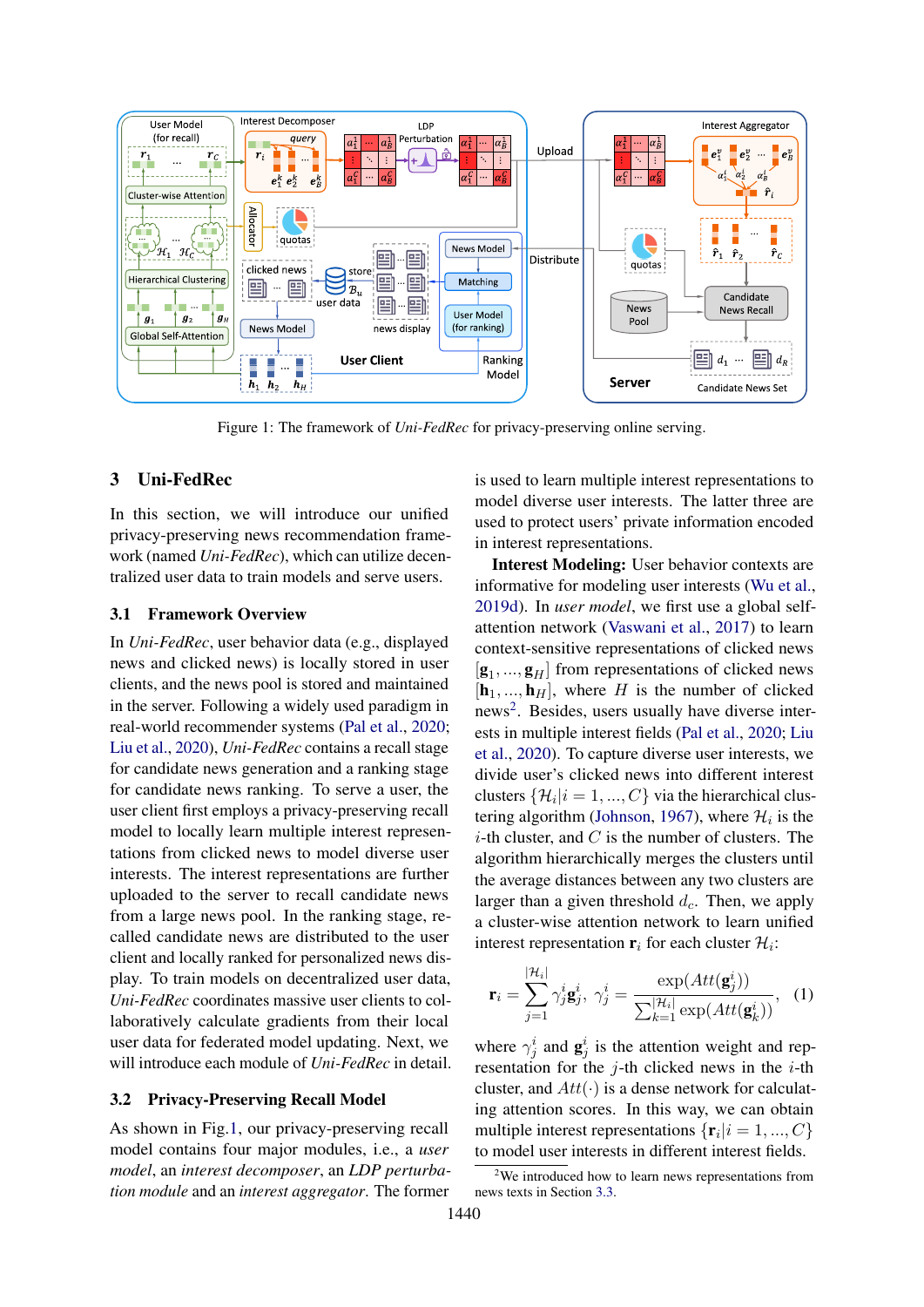<span id="page-2-0"></span>

Figure 1: The framework of *Uni-FedRec* for privacy-preserving online serving.

# 3 Uni-FedRec

In this section, we will introduce our unified privacy-preserving news recommendation framework (named *Uni-FedRec*), which can utilize decentralized user data to train models and serve users.

### 3.1 Framework Overview

In *Uni-FedRec*, user behavior data (e.g., displayed news and clicked news) is locally stored in user clients, and the news pool is stored and maintained in the server. Following a widely used paradigm in real-world recommender systems [\(Pal et al.,](#page-9-7) [2020;](#page-9-7) [Liu et al.,](#page-9-19) [2020\)](#page-9-19), *Uni-FedRec* contains a recall stage for candidate news generation and a ranking stage for candidate news ranking. To serve a user, the user client first employs a privacy-preserving recall model to locally learn multiple interest representations from clicked news to model diverse user interests. The interest representations are further uploaded to the server to recall candidate news from a large news pool. In the ranking stage, recalled candidate news are distributed to the user client and locally ranked for personalized news display. To train models on decentralized user data, *Uni-FedRec* coordinates massive user clients to collaboratively calculate gradients from their local user data for federated model updating. Next, we will introduce each module of *Uni-FedRec* in detail.

### 3.2 Privacy-Preserving Recall Model

As shown in Fig[.1,](#page-2-0) our privacy-preserving recall model contains four major modules, i.e., a *user model*, an *interest decomposer*, an *LDP perturbation module* and an *interest aggregator*. The former is used to learn multiple interest representations to model diverse user interests. The latter three are used to protect users' private information encoded in interest representations.

Interest Modeling: User behavior contexts are informative for modeling user interests [\(Wu et al.,](#page-10-14) [2019d\)](#page-10-14). In *user model*, we first use a global selfattention network [\(Vaswani et al.,](#page-9-20) [2017\)](#page-9-20) to learn context-sensitive representations of clicked news  $[g_1, ..., g_H]$  from representations of clicked news  $[\mathbf{h}_1, ..., \mathbf{h}_H]$ , where H is the number of clicked news<sup>[2](#page-2-1)</sup>. Besides, users usually have diverse interests in multiple interest fields [\(Pal et al.,](#page-9-7) [2020;](#page-9-7) [Liu](#page-9-19) [et al.,](#page-9-19) [2020\)](#page-9-19). To capture diverse user interests, we divide user's clicked news into different interest clusters  $\{\mathcal{H}_i | i = 1, ..., C\}$  via the hierarchical clus-tering algorithm [\(Johnson,](#page-9-21) [1967\)](#page-9-21), where  $\mathcal{H}_i$  is the  $i$ -th cluster, and  $C$  is the number of clusters. The algorithm hierarchically merges the clusters until the average distances between any two clusters are larger than a given threshold  $d_c$ . Then, we apply a cluster-wise attention network to learn unified interest representation  $\mathbf{r}_i$  for each cluster  $\mathcal{H}_i$ :

$$
\mathbf{r}_{i} = \sum_{j=1}^{|\mathcal{H}_{i}|} \gamma_{j}^{i} \mathbf{g}_{j}^{i}, \ \gamma_{j}^{i} = \frac{\exp(Att(\mathbf{g}_{j}^{i}))}{\sum_{k=1}^{|\mathcal{H}_{i}|} \exp(Att(\mathbf{g}_{k}^{i}))}, \ \ (1)
$$

where  $\gamma_j^i$  and  $\mathbf{g}_j^i$  is the attention weight and representation for the  $j$ -th clicked news in the  $i$ -th cluster, and  $Att(\cdot)$  is a dense network for calculating attention scores. In this way, we can obtain multiple interest representations  $\{r_i | i = 1, ..., C\}$ to model user interests in different interest fields.

<span id="page-2-1"></span> $2$ We introduced how to learn news representations from news texts in Section [3.3.](#page-4-0)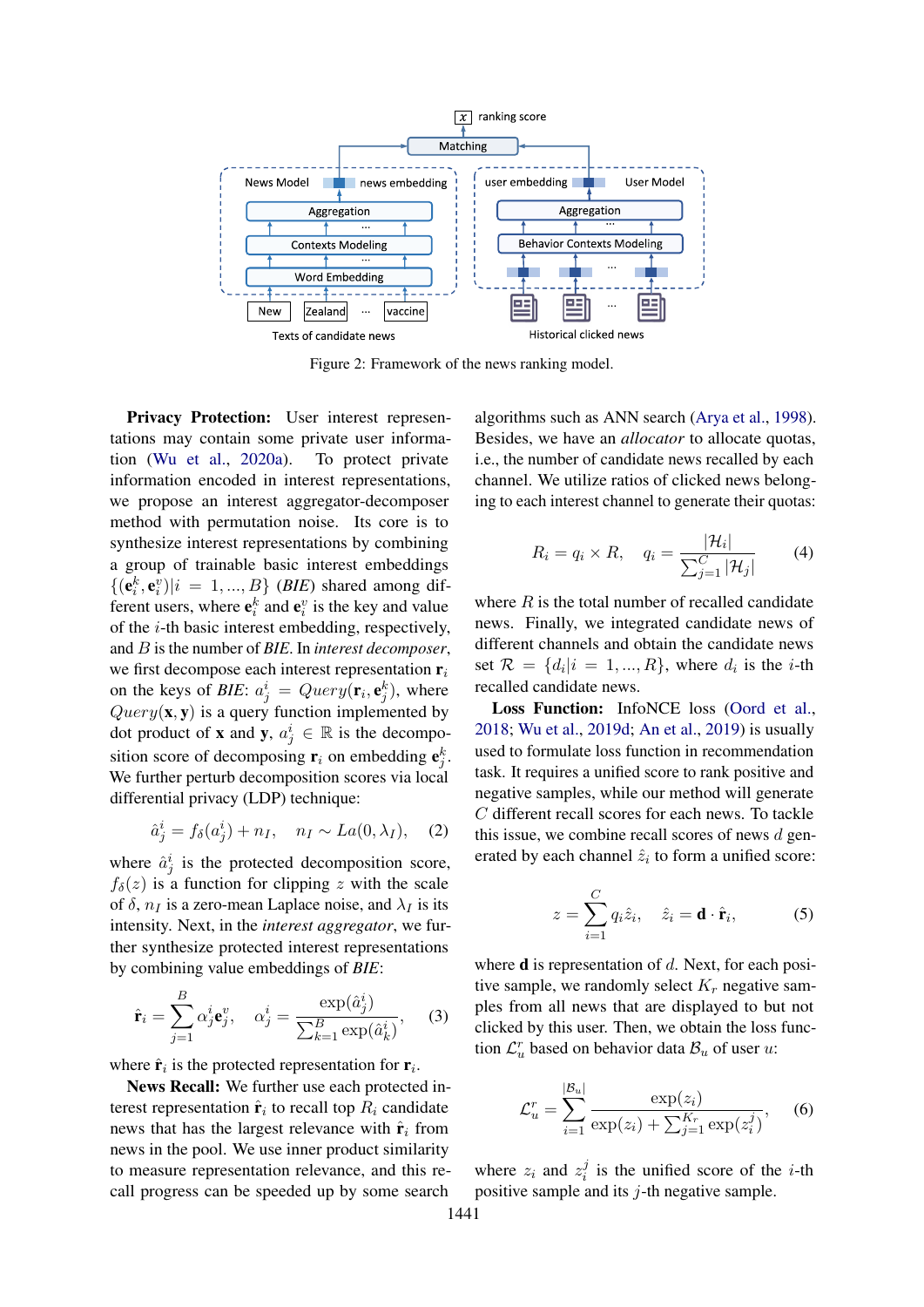<span id="page-3-0"></span>

Figure 2: Framework of the news ranking model.

Privacy Protection: User interest representations may contain some private user information [\(Wu et al.,](#page-10-7) [2020a\)](#page-10-7). To protect private information encoded in interest representations, we propose an interest aggregator-decomposer method with permutation noise. Its core is to synthesize interest representations by combining a group of trainable basic interest embeddings  ${({\bf e}_i^k, {\bf e}_i^v)|i = 1, ..., B}$  (*BIE*) shared among different users, where  $e_i^k$  and  $e_i^v$  is the key and value of the i-th basic interest embedding, respectively, and B is the number of *BIE*. In *interest decomposer*, we first decompose each interest representation  $r_i$ on the keys of *BIE*:  $a_j^i = Query(\mathbf{r}_i, \mathbf{e}_j^k)$ , where  $Query(\mathbf{x}, \mathbf{y})$  is a query function implemented by dot product of **x** and **y**,  $a_j^i \in \mathbb{R}$  is the decomposition score of decomposing  $\mathbf{r}_i$  on embedding  $\mathbf{e}_j^k$ . We further perturb decomposition scores via local differential privacy (LDP) technique:

$$
\hat{a}_j^i = f_\delta(a_j^i) + n_I, \quad n_I \sim La(0, \lambda_I), \quad (2)
$$

where  $\hat{a}^i_j$  is the protected decomposition score,  $f_\delta(z)$  is a function for clipping z with the scale of  $\delta$ ,  $n_I$  is a zero-mean Laplace noise, and  $\lambda_I$  is its intensity. Next, in the *interest aggregator*, we further synthesize protected interest representations by combining value embeddings of *BIE*:

$$
\hat{\mathbf{r}}_i = \sum_{j=1}^B \alpha_j^i \mathbf{e}_j^v, \quad \alpha_j^i = \frac{\exp(\hat{a}_j^i)}{\sum_{k=1}^B \exp(\hat{a}_k^i)}, \quad (3)
$$

where  $\hat{\mathbf{r}}_i$  is the protected representation for  $\mathbf{r}_i$ .

News Recall: We further use each protected interest representation  $\hat{\mathbf{r}}_i$  to recall top  $R_i$  candidate news that has the largest relevance with  $\hat{\mathbf{r}}_i$  from news in the pool. We use inner product similarity to measure representation relevance, and this recall progress can be speeded up by some search

algorithms such as ANN search [\(Arya et al.,](#page-9-22) [1998\)](#page-9-22). Besides, we have an *allocator* to allocate quotas, i.e., the number of candidate news recalled by each channel. We utilize ratios of clicked news belonging to each interest channel to generate their quotas:

$$
R_i = q_i \times R, \quad q_i = \frac{|\mathcal{H}_i|}{\sum_{j=1}^C |\mathcal{H}_j|} \tag{4}
$$

where  $R$  is the total number of recalled candidate news. Finally, we integrated candidate news of different channels and obtain the candidate news set  $\mathcal{R} = \{d_i | i = 1, ..., R\}$ , where  $d_i$  is the *i*-th recalled candidate news.

Loss Function: InfoNCE loss [\(Oord et al.,](#page-9-23) [2018;](#page-9-23) [Wu et al.,](#page-10-14) [2019d;](#page-10-14) [An et al.,](#page-9-12) [2019\)](#page-9-12) is usually used to formulate loss function in recommendation task. It requires a unified score to rank positive and negative samples, while our method will generate C different recall scores for each news. To tackle this issue, we combine recall scores of news  $d$  generated by each channel  $\hat{z}_i$  to form a unified score:

$$
z = \sum_{i=1}^{C} q_i \hat{z}_i, \quad \hat{z}_i = \mathbf{d} \cdot \hat{\mathbf{r}}_i,
$$
 (5)

where  $\bf{d}$  is representation of  $d$ . Next, for each positive sample, we randomly select  $K_r$  negative samples from all news that are displayed to but not clicked by this user. Then, we obtain the loss function  $\mathcal{L}_{u}^{r}$  based on behavior data  $\mathcal{B}_{u}$  of user u:

$$
C_u^r = \sum_{i=1}^{|\mathcal{B}_u|} \frac{\exp(z_i)}{\exp(z_i) + \sum_{j=1}^{K_r} \exp(z_i^j)},
$$
 (6)

where  $z_i$  and  $z_i^j$  $i$  is the unified score of the *i*-th positive sample and its  $j$ -th negative sample.

L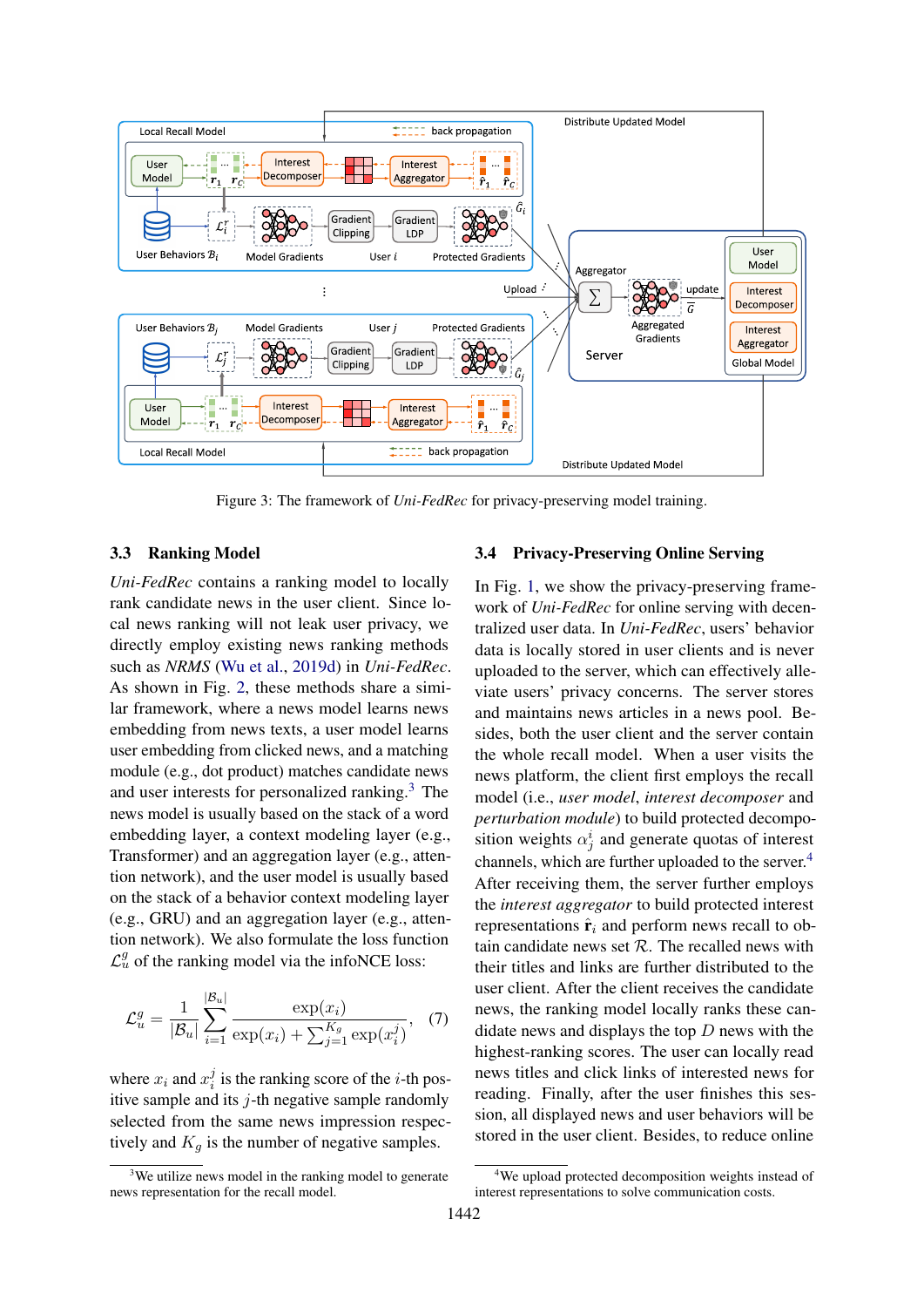<span id="page-4-3"></span>

Figure 3: The framework of *Uni-FedRec* for privacy-preserving model training.

# <span id="page-4-0"></span>3.3 Ranking Model

*Uni-FedRec* contains a ranking model to locally rank candidate news in the user client. Since local news ranking will not leak user privacy, we directly employ existing news ranking methods such as *NRMS* [\(Wu et al.,](#page-10-14) [2019d\)](#page-10-14) in *Uni-FedRec*. As shown in Fig. [2,](#page-3-0) these methods share a similar framework, where a news model learns news embedding from news texts, a user model learns user embedding from clicked news, and a matching module (e.g., dot product) matches candidate news and user interests for personalized ranking.[3](#page-4-1) The news model is usually based on the stack of a word embedding layer, a context modeling layer (e.g., Transformer) and an aggregation layer (e.g., attention network), and the user model is usually based on the stack of a behavior context modeling layer (e.g., GRU) and an aggregation layer (e.g., attention network). We also formulate the loss function  $\mathcal{L}_{u}^{g}$  of the ranking model via the infoNCE loss:

$$
\mathcal{L}_u^g = \frac{1}{|\mathcal{B}_u|} \sum_{i=1}^{|\mathcal{B}_u|} \frac{\exp(x_i)}{\exp(x_i) + \sum_{j=1}^{K_g} \exp(x_i^j)}, \quad (7)
$$

where  $x_i$  and  $x_i^j$  $i$  is the ranking score of the *i*-th positive sample and its  $j$ -th negative sample randomly selected from the same news impression respectively and  $K_q$  is the number of negative samples.

#### 3.4 Privacy-Preserving Online Serving

In Fig. [1,](#page-2-0) we show the privacy-preserving framework of *Uni-FedRec* for online serving with decentralized user data. In *Uni-FedRec*, users' behavior data is locally stored in user clients and is never uploaded to the server, which can effectively alleviate users' privacy concerns. The server stores and maintains news articles in a news pool. Besides, both the user client and the server contain the whole recall model. When a user visits the news platform, the client first employs the recall model (i.e., *user model*, *interest decomposer* and *perturbation module*) to build protected decomposition weights  $\alpha_j^i$  and generate quotas of interest channels, which are further uploaded to the server.[4](#page-4-2) After receiving them, the server further employs the *interest aggregator* to build protected interest representations  $\hat{\mathbf{r}}_i$  and perform news recall to obtain candidate news set  $\mathcal{R}$ . The recalled news with their titles and links are further distributed to the user client. After the client receives the candidate news, the ranking model locally ranks these candidate news and displays the top  $D$  news with the highest-ranking scores. The user can locally read news titles and click links of interested news for reading. Finally, after the user finishes this session, all displayed news and user behaviors will be stored in the user client. Besides, to reduce online

<span id="page-4-1"></span><sup>&</sup>lt;sup>3</sup>We utilize news model in the ranking model to generate news representation for the recall model.

<span id="page-4-2"></span><sup>&</sup>lt;sup>4</sup>We upload protected decomposition weights instead of interest representations to solve communication costs.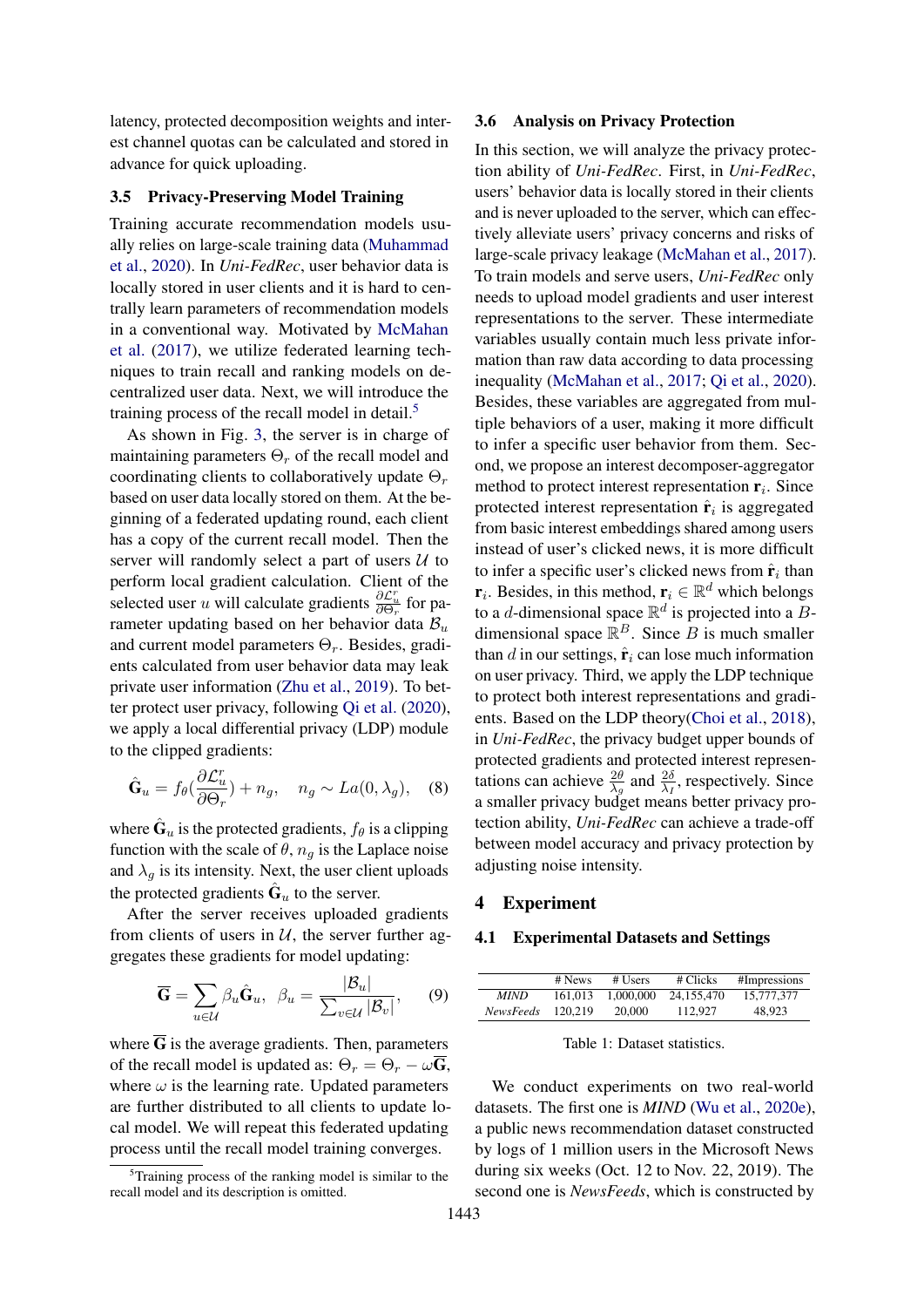latency, protected decomposition weights and interest channel quotas can be calculated and stored in advance for quick uploading.

# 3.5 Privacy-Preserving Model Training

Training accurate recommendation models usually relies on large-scale training data [\(Muhammad](#page-9-14) [et al.,](#page-9-14) [2020\)](#page-9-14). In *Uni-FedRec*, user behavior data is locally stored in user clients and it is hard to centrally learn parameters of recommendation models in a conventional way. Motivated by [McMahan](#page-9-6) [et al.](#page-9-6) [\(2017\)](#page-9-6), we utilize federated learning techniques to train recall and ranking models on decentralized user data. Next, we will introduce the training process of the recall model in detail.<sup>[5](#page-5-0)</sup>

As shown in Fig. [3,](#page-4-3) the server is in charge of maintaining parameters  $\Theta_r$  of the recall model and coordinating clients to collaboratively update  $\Theta_r$ based on user data locally stored on them. At the beginning of a federated updating round, each client has a copy of the current recall model. Then the server will randomly select a part of users  $U$  to perform local gradient calculation. Client of the selected user u will calculate gradients  $\frac{\partial \mathcal{L}_u^r}{\partial \Theta_r}$  for parameter updating based on her behavior data  $B_u$ and current model parameters  $\Theta_r$ . Besides, gradients calculated from user behavior data may leak private user information [\(Zhu et al.,](#page-10-18) [2019\)](#page-10-18). To better protect user privacy, following [Qi et al.](#page-9-5) [\(2020\)](#page-9-5), we apply a local differential privacy (LDP) module to the clipped gradients:

$$
\hat{\mathbf{G}}_u = f_\theta(\frac{\partial \mathcal{L}_u^r}{\partial \Theta_r}) + n_g, \quad n_g \sim La(0, \lambda_g), \quad (8)
$$

where  $\hat{\mathbf{G}}_u$  is the protected gradients,  $f_\theta$  is a clipping function with the scale of  $\theta$ ,  $n_q$  is the Laplace noise and  $\lambda_g$  is its intensity. Next, the user client uploads the protected gradients  $\hat{\mathbf{G}}_u$  to the server.

After the server receives uploaded gradients from clients of users in  $U$ , the server further aggregates these gradients for model updating:

$$
\overline{\mathbf{G}} = \sum_{u \in \mathcal{U}} \beta_u \hat{\mathbf{G}}_u, \ \beta_u = \frac{|\mathcal{B}_u|}{\sum_{v \in \mathcal{U}} |\mathcal{B}_v|}, \qquad (9)
$$

where  $\overline{G}$  is the average gradients. Then, parameters of the recall model is updated as:  $\Theta_r = \Theta_r - \omega \overline{G}$ , where  $\omega$  is the learning rate. Updated parameters are further distributed to all clients to update local model. We will repeat this federated updating process until the recall model training converges.

#### 3.6 Analysis on Privacy Protection

In this section, we will analyze the privacy protection ability of *Uni-FedRec*. First, in *Uni-FedRec*, users' behavior data is locally stored in their clients and is never uploaded to the server, which can effectively alleviate users' privacy concerns and risks of large-scale privacy leakage [\(McMahan et al.,](#page-9-6) [2017\)](#page-9-6). To train models and serve users, *Uni-FedRec* only needs to upload model gradients and user interest representations to the server. These intermediate variables usually contain much less private information than raw data according to data processing inequality [\(McMahan et al.,](#page-9-6) [2017;](#page-9-6) [Qi et al.,](#page-9-5) [2020\)](#page-9-5). Besides, these variables are aggregated from multiple behaviors of a user, making it more difficult to infer a specific user behavior from them. Second, we propose an interest decomposer-aggregator method to protect interest representation  $\mathbf{r}_i$ . Since protected interest representation  $\hat{\mathbf{r}}_i$  is aggregated from basic interest embeddings shared among users instead of user's clicked news, it is more difficult to infer a specific user's clicked news from  $\hat{\mathbf{r}}_i$  than  $\mathbf{r}_i$ . Besides, in this method,  $\mathbf{r}_i \in \mathbb{R}^d$  which belongs to a *d*-dimensional space  $\mathbb{R}^d$  is projected into a *B*dimensional space  $\mathbb{R}^B$ . Since B is much smaller than d in our settings,  $\hat{\mathbf{r}}_i$  can lose much information on user privacy. Third, we apply the LDP technique to protect both interest representations and gradients. Based on the LDP theory[\(Choi et al.,](#page-9-24) [2018\)](#page-9-24), in *Uni-FedRec*, the privacy budget upper bounds of protected gradients and protected interest representations can achieve  $\frac{2\theta}{\lambda_g}$  and  $\frac{2\delta}{\lambda_I}$ , respectively. Since a smaller privacy budget means better privacy protection ability, *Uni-FedRec* can achieve a trade-off between model accuracy and privacy protection by adjusting noise intensity.

#### 4 Experiment

#### 4.1 Experimental Datasets and Settings

<span id="page-5-1"></span>

|                  | # News  | # Users   | # Clicks   | #Impressions |
|------------------|---------|-----------|------------|--------------|
| MIND             | 161.013 | 1,000,000 | 24.155.470 | 15,777,377   |
| <i>NewsFeeds</i> | 120.219 | 20,000    | 112,927    | 48.923       |

Table 1: Dataset statistics.

We conduct experiments on two real-world datasets. The first one is *MIND* [\(Wu et al.,](#page-10-19) [2020e\)](#page-10-19), a public news recommendation dataset constructed by logs of 1 million users in the Microsoft News during six weeks (Oct. 12 to Nov. 22, 2019). The second one is *NewsFeeds*, which is constructed by

<span id="page-5-0"></span> $5$ Training process of the ranking model is similar to the recall model and its description is omitted.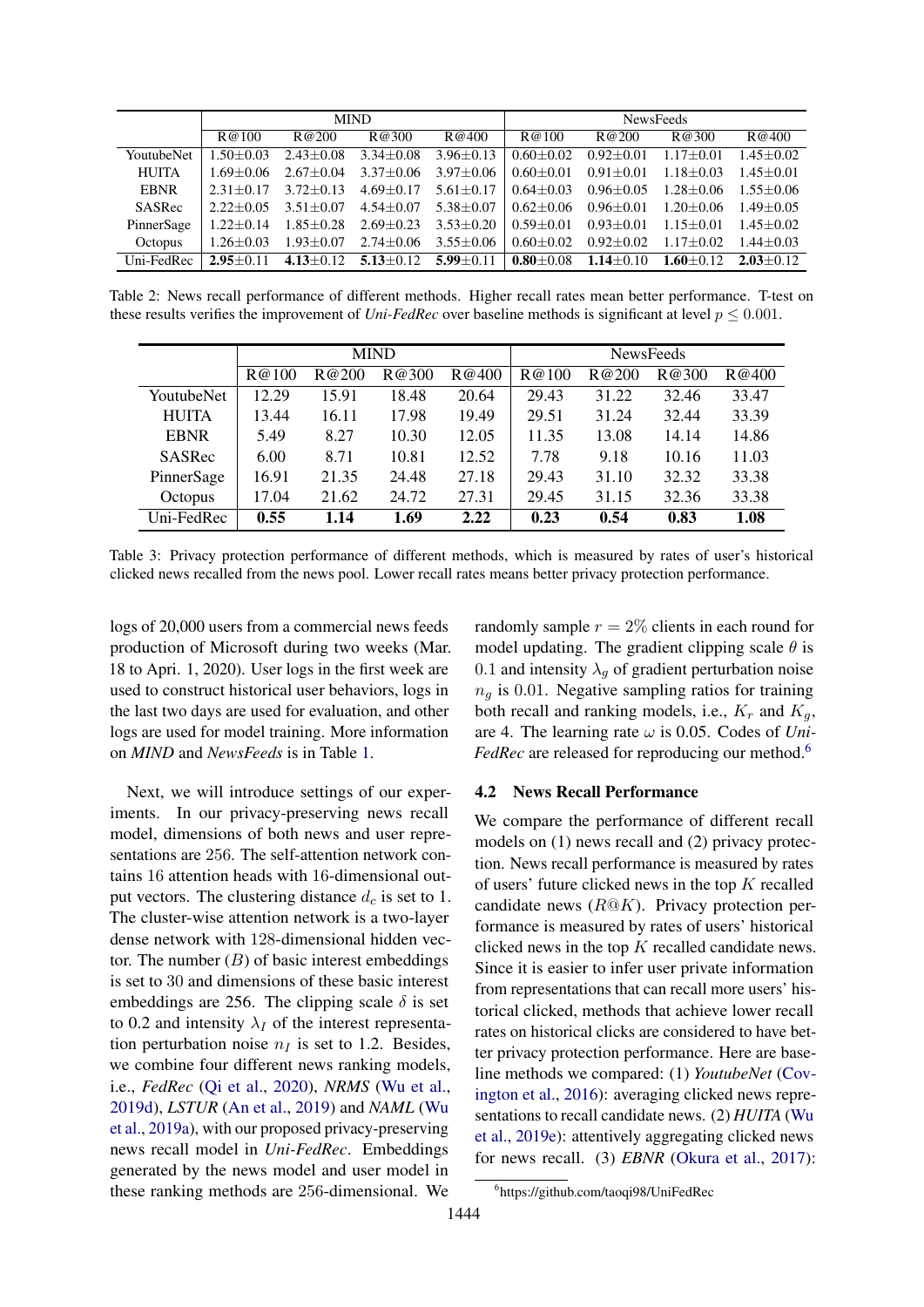<span id="page-6-1"></span>

|                   | <b>MIND</b>     |                 |                                                 | <b>NewsFeeds</b> |                 |                 |                 |               |
|-------------------|-----------------|-----------------|-------------------------------------------------|------------------|-----------------|-----------------|-----------------|---------------|
|                   | R@100           | R@200           | R@300                                           | R@400            | R@100           | R@200           | R@300           | R@400         |
| <b>YoutubeNet</b> | $1.50 + 0.03$   | $2.43 + 0.08$   | $3.34 \pm 0.08$                                 | $3.96 \pm 0.13$  | $0.60 + 0.02$   | $0.92 + 0.01$   | $1.17 \pm 0.01$ | $1.45 + 0.02$ |
| HUITA             | $1.69 + 0.06$   | $2.67 + 0.04$   | $3.37 \pm 0.06$                                 | $3.97 + 0.06$    | $0.60 + 0.01$   | $0.91 + 0.01$   | $1.18 \pm 0.03$ | $1.45 + 0.01$ |
| <b>EBNR</b>       | $2.31 + 0.17$   | $3.72 + 0.13$   | $4.69 \pm 0.17$                                 | $5.61 \pm 0.17$  | $0.64 + 0.03$   | $0.96 + 0.05$   | $1.28 \pm 0.06$ | $1.55 + 0.06$ |
| SASRec            | $2.22+0.05$     | $3.51 + 0.07$   | $4.54 + 0.07$                                   | $5.38 + 0.07$    | $0.62 + 0.06$   | $0.96 + 0.01$   | $1.20 + 0.06$   | $1.49 + 0.05$ |
| PinnerSage        | $1.22 \pm 0.14$ | $1.85{\pm}0.28$ | $2.69 \pm 0.23$                                 | $3.53 \pm 0.20$  | $0.59 + 0.01$   | $0.93 + 0.01$   | $1.15 + 0.01$   | $1.45 + 0.02$ |
| Octopus           | $1.26 + 0.03$   | $1.93 \pm 0.07$ | $2.74 \pm 0.06$ 3.55 $\pm$ 0.06                 |                  | $0.60 \pm 0.02$ | $0.92 + 0.02$   | $1.17 + 0.02$   | $1.44 + 0.03$ |
| Uni-FedRec        | $2.95 \pm 0.11$ |                 | 4.13 $\pm$ 0.12 5.13 $\pm$ 0.12 5.99 $\pm$ 0.11 |                  | $0.80 \pm 0.08$ | $1.14 \pm 0.10$ | $1.60 + 0.12$   | $2.03 + 0.12$ |

Table 2: News recall performance of different methods. Higher recall rates mean better performance. T-test on these results verifies the improvement of *Uni-FedRec* over baseline methods is significant at level  $p \le 0.001$ .

<span id="page-6-2"></span>

|              | <b>MIND</b> |       |       |       | <b>NewsFeeds</b> |       |       |       |
|--------------|-------------|-------|-------|-------|------------------|-------|-------|-------|
|              | R@100       | R@200 | R@300 | R@400 | R@100            | R@200 | R@300 | R@400 |
| YoutubeNet   | 12.29       | 15.91 | 18.48 | 20.64 | 29.43            | 31.22 | 32.46 | 33.47 |
| <b>HUITA</b> | 13.44       | 16.11 | 17.98 | 19.49 | 29.51            | 31.24 | 32.44 | 33.39 |
| <b>EBNR</b>  | 5.49        | 8.27  | 10.30 | 12.05 | 11.35            | 13.08 | 14.14 | 14.86 |
| SASRec       | 6.00        | 8.71  | 10.81 | 12.52 | 7.78             | 9.18  | 10.16 | 11.03 |
| PinnerSage   | 16.91       | 21.35 | 24.48 | 27.18 | 29.43            | 31.10 | 32.32 | 33.38 |
| Octopus      | 17.04       | 21.62 | 24.72 | 27.31 | 29.45            | 31.15 | 32.36 | 33.38 |
| Uni-FedRec   | 0.55        | 1.14  | 1.69  | 2.22  | 0.23             | 0.54  | 0.83  | 1.08  |

Table 3: Privacy protection performance of different methods, which is measured by rates of user's historical clicked news recalled from the news pool. Lower recall rates means better privacy protection performance.

logs of 20,000 users from a commercial news feeds production of Microsoft during two weeks (Mar. 18 to Apri. 1, 2020). User logs in the first week are used to construct historical user behaviors, logs in the last two days are used for evaluation, and other logs are used for model training. More information on *MIND* and *NewsFeeds* is in Table [1.](#page-5-1)

Next, we will introduce settings of our experiments. In our privacy-preserving news recall model, dimensions of both news and user representations are 256. The self-attention network contains 16 attention heads with 16-dimensional output vectors. The clustering distance  $d_c$  is set to 1. The cluster-wise attention network is a two-layer dense network with 128-dimensional hidden vector. The number  $(B)$  of basic interest embeddings is set to 30 and dimensions of these basic interest embeddings are 256. The clipping scale  $\delta$  is set to 0.2 and intensity  $\lambda_I$  of the interest representation perturbation noise  $n_I$  is set to 1.2. Besides, we combine four different news ranking models, i.e., *FedRec* [\(Qi et al.,](#page-9-5) [2020\)](#page-9-5), *NRMS* [\(Wu et al.,](#page-10-14) [2019d\)](#page-10-14), *LSTUR* [\(An et al.,](#page-9-12) [2019\)](#page-9-12) and *NAML* [\(Wu](#page-10-5) [et al.,](#page-10-5) [2019a\)](#page-10-5), with our proposed privacy-preserving news recall model in *Uni-FedRec*. Embeddings generated by the news model and user model in these ranking methods are 256-dimensional. We

randomly sample  $r = 2\%$  clients in each round for model updating. The gradient clipping scale  $\theta$  is 0.1 and intensity  $\lambda_q$  of gradient perturbation noise  $n_q$  is 0.01. Negative sampling ratios for training both recall and ranking models, i.e.,  $K_r$  and  $K_q$ , are 4. The learning rate  $\omega$  is 0.05. Codes of *Uni*-*FedRec* are released for reproducing our method.<sup>[6](#page-6-0)</sup>

#### 4.2 News Recall Performance

We compare the performance of different recall models on (1) news recall and (2) privacy protection. News recall performance is measured by rates of users' future clicked news in the top  $K$  recalled candidate news  $(R@K)$ . Privacy protection performance is measured by rates of users' historical clicked news in the top  $K$  recalled candidate news. Since it is easier to infer user private information from representations that can recall more users' historical clicked, methods that achieve lower recall rates on historical clicks are considered to have better privacy protection performance. Here are baseline methods we compared: (1) *YoutubeNet* [\(Cov](#page-9-25)[ington et al.,](#page-9-25) [2016\)](#page-9-25): averaging clicked news representations to recall candidate news. (2) *HUITA* [\(Wu](#page-10-20) [et al.,](#page-10-20) [2019e\)](#page-10-20): attentively aggregating clicked news for news recall. (3) *EBNR* [\(Okura et al.,](#page-9-3) [2017\)](#page-9-3):

<span id="page-6-0"></span><sup>6</sup> https://github.com/taoqi98/UniFedRec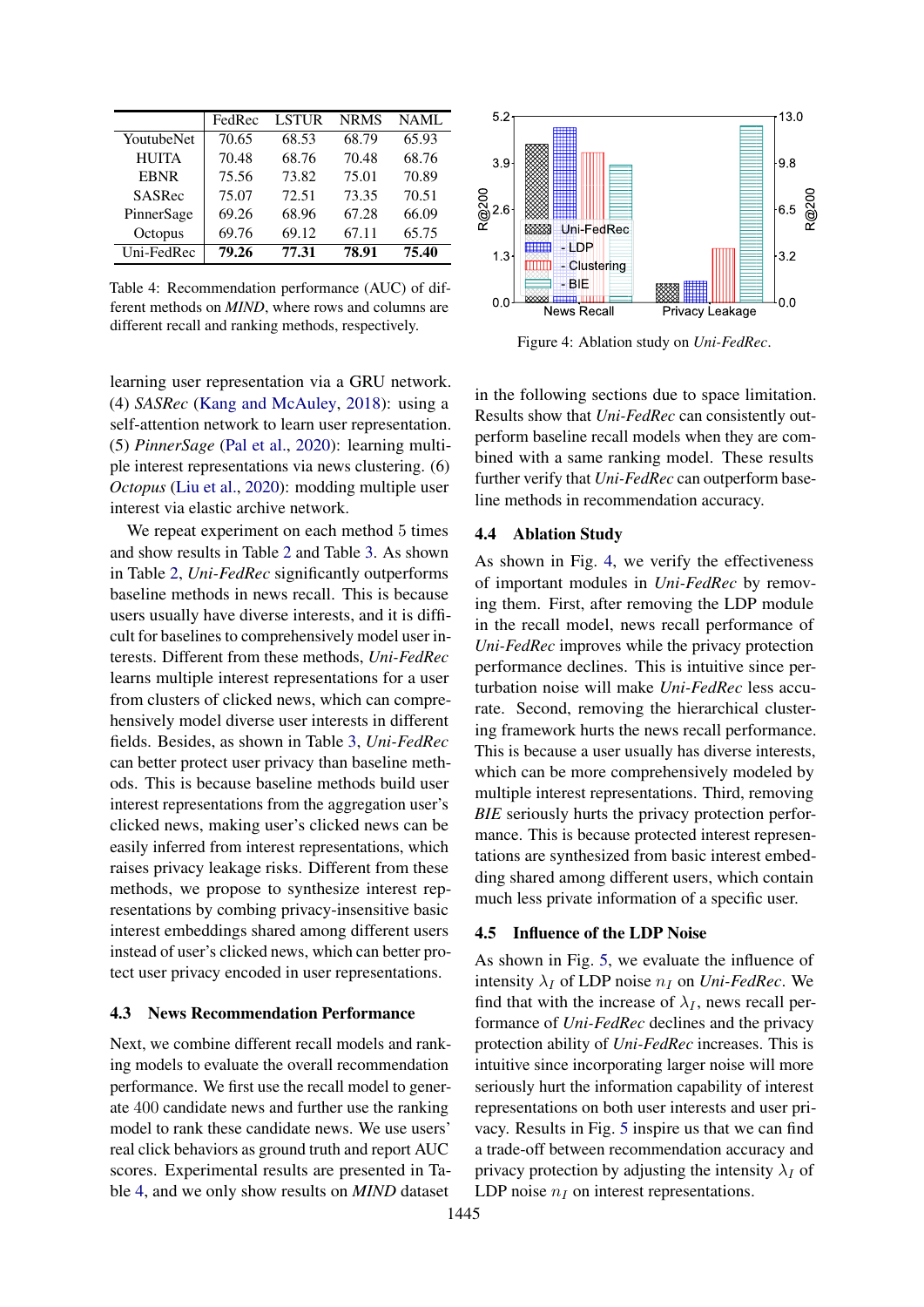<span id="page-7-0"></span>

|              | FedRec | <b>LSTUR</b> | <b>NRMS</b> | NAML  |
|--------------|--------|--------------|-------------|-------|
| YoutubeNet   | 70.65  | 68.53        | 68.79       | 65.93 |
| <b>HUITA</b> | 70.48  | 68.76        | 70.48       | 68.76 |
| <b>EBNR</b>  | 75.56  | 73.82        | 75.01       | 70.89 |
| SASRec       | 75.07  | 72.51        | 73.35       | 70.51 |
| PinnerSage   | 69.26  | 68.96        | 67.28       | 66.09 |
| Octopus      | 69.76  | 69.12        | 67.11       | 65.75 |
| Uni-FedRec   | 79.26  | 77.31        | 78.91       | 75.40 |

Table 4: Recommendation performance (AUC) of different methods on *MIND*, where rows and columns are different recall and ranking methods, respectively.

learning user representation via a GRU network. (4) *SASRec* [\(Kang and McAuley,](#page-9-26) [2018\)](#page-9-26): using a self-attention network to learn user representation. (5) *PinnerSage* [\(Pal et al.,](#page-9-7) [2020\)](#page-9-7): learning multiple interest representations via news clustering. (6) *Octopus* [\(Liu et al.,](#page-9-19) [2020\)](#page-9-19): modding multiple user interest via elastic archive network.

We repeat experiment on each method 5 times and show results in Table [2](#page-6-1) and Table [3.](#page-6-2) As shown in Table [2,](#page-6-1) *Uni-FedRec* significantly outperforms baseline methods in news recall. This is because users usually have diverse interests, and it is difficult for baselines to comprehensively model user interests. Different from these methods, *Uni-FedRec* learns multiple interest representations for a user from clusters of clicked news, which can comprehensively model diverse user interests in different fields. Besides, as shown in Table [3,](#page-6-2) *Uni-FedRec* can better protect user privacy than baseline methods. This is because baseline methods build user interest representations from the aggregation user's clicked news, making user's clicked news can be easily inferred from interest representations, which raises privacy leakage risks. Different from these methods, we propose to synthesize interest representations by combing privacy-insensitive basic interest embeddings shared among different users instead of user's clicked news, which can better protect user privacy encoded in user representations.

# 4.3 News Recommendation Performance

Next, we combine different recall models and ranking models to evaluate the overall recommendation performance. We first use the recall model to generate 400 candidate news and further use the ranking model to rank these candidate news. We use users' real click behaviors as ground truth and report AUC scores. Experimental results are presented in Table [4,](#page-7-0) and we only show results on *MIND* dataset

<span id="page-7-1"></span>

Figure 4: Ablation study on *Uni-FedRec*.

in the following sections due to space limitation. Results show that *Uni-FedRec* can consistently outperform baseline recall models when they are combined with a same ranking model. These results further verify that *Uni-FedRec* can outperform baseline methods in recommendation accuracy.

### 4.4 Ablation Study

As shown in Fig. [4,](#page-7-1) we verify the effectiveness of important modules in *Uni-FedRec* by removing them. First, after removing the LDP module in the recall model, news recall performance of *Uni-FedRec* improves while the privacy protection performance declines. This is intuitive since perturbation noise will make *Uni-FedRec* less accurate. Second, removing the hierarchical clustering framework hurts the news recall performance. This is because a user usually has diverse interests, which can be more comprehensively modeled by multiple interest representations. Third, removing *BIE* seriously hurts the privacy protection performance. This is because protected interest representations are synthesized from basic interest embedding shared among different users, which contain much less private information of a specific user.

### 4.5 Influence of the LDP Noise

As shown in Fig. [5,](#page-8-0) we evaluate the influence of intensity  $\lambda_I$  of LDP noise  $n_I$  on *Uni-FedRec*. We find that with the increase of  $\lambda_I$ , news recall performance of *Uni-FedRec* declines and the privacy protection ability of *Uni-FedRec* increases. This is intuitive since incorporating larger noise will more seriously hurt the information capability of interest representations on both user interests and user privacy. Results in Fig. [5](#page-8-0) inspire us that we can find a trade-off between recommendation accuracy and privacy protection by adjusting the intensity  $\lambda_I$  of LDP noise  $n_I$  on interest representations.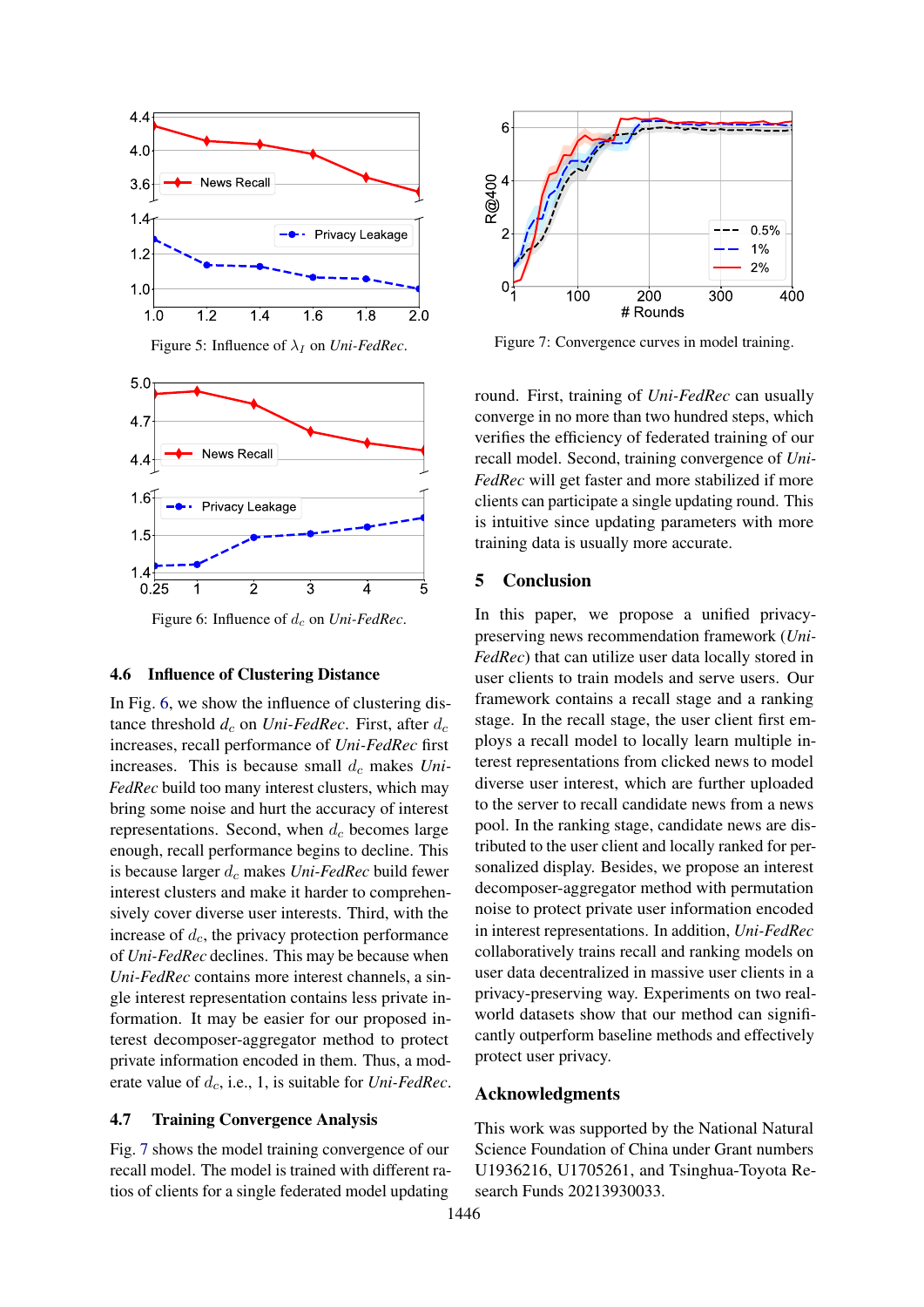<span id="page-8-0"></span>

Figure 5: Influence of  $\lambda_I$  on *Uni-FedRec*.

<span id="page-8-1"></span>

Figure 6: Influence of  $d_c$  on *Uni-FedRec*.

#### 4.6 Influence of Clustering Distance

In Fig. [6,](#page-8-1) we show the influence of clustering distance threshold  $d_c$  on *Uni-FedRec*. First, after  $d_c$ increases, recall performance of *Uni-FedRec* first increases. This is because small  $d_c$  makes *Uni*-*FedRec* build too many interest clusters, which may bring some noise and hurt the accuracy of interest representations. Second, when  $d_c$  becomes large enough, recall performance begins to decline. This is because larger  $d_c$  makes *Uni-FedRec* build fewer interest clusters and make it harder to comprehensively cover diverse user interests. Third, with the increase of  $d_c$ , the privacy protection performance of *Uni-FedRec* declines. This may be because when *Uni-FedRec* contains more interest channels, a single interest representation contains less private information. It may be easier for our proposed interest decomposer-aggregator method to protect private information encoded in them. Thus, a moderate value of  $d_c$ , i.e., 1, is suitable for *Uni-FedRec*.

### 4.7 Training Convergence Analysis

Fig. [7](#page-8-2) shows the model training convergence of our recall model. The model is trained with different ratios of clients for a single federated model updating

<span id="page-8-2"></span>

Figure 7: Convergence curves in model training.

round. First, training of *Uni-FedRec* can usually converge in no more than two hundred steps, which verifies the efficiency of federated training of our recall model. Second, training convergence of *Uni-FedRec* will get faster and more stabilized if more clients can participate a single updating round. This is intuitive since updating parameters with more training data is usually more accurate.

# 5 Conclusion

In this paper, we propose a unified privacypreserving news recommendation framework (*Uni-FedRec*) that can utilize user data locally stored in user clients to train models and serve users. Our framework contains a recall stage and a ranking stage. In the recall stage, the user client first employs a recall model to locally learn multiple interest representations from clicked news to model diverse user interest, which are further uploaded to the server to recall candidate news from a news pool. In the ranking stage, candidate news are distributed to the user client and locally ranked for personalized display. Besides, we propose an interest decomposer-aggregator method with permutation noise to protect private user information encoded in interest representations. In addition, *Uni-FedRec* collaboratively trains recall and ranking models on user data decentralized in massive user clients in a privacy-preserving way. Experiments on two realworld datasets show that our method can significantly outperform baseline methods and effectively protect user privacy.

# Acknowledgments

This work was supported by the National Natural Science Foundation of China under Grant numbers U1936216, U1705261, and Tsinghua-Toyota Research Funds 20213930033.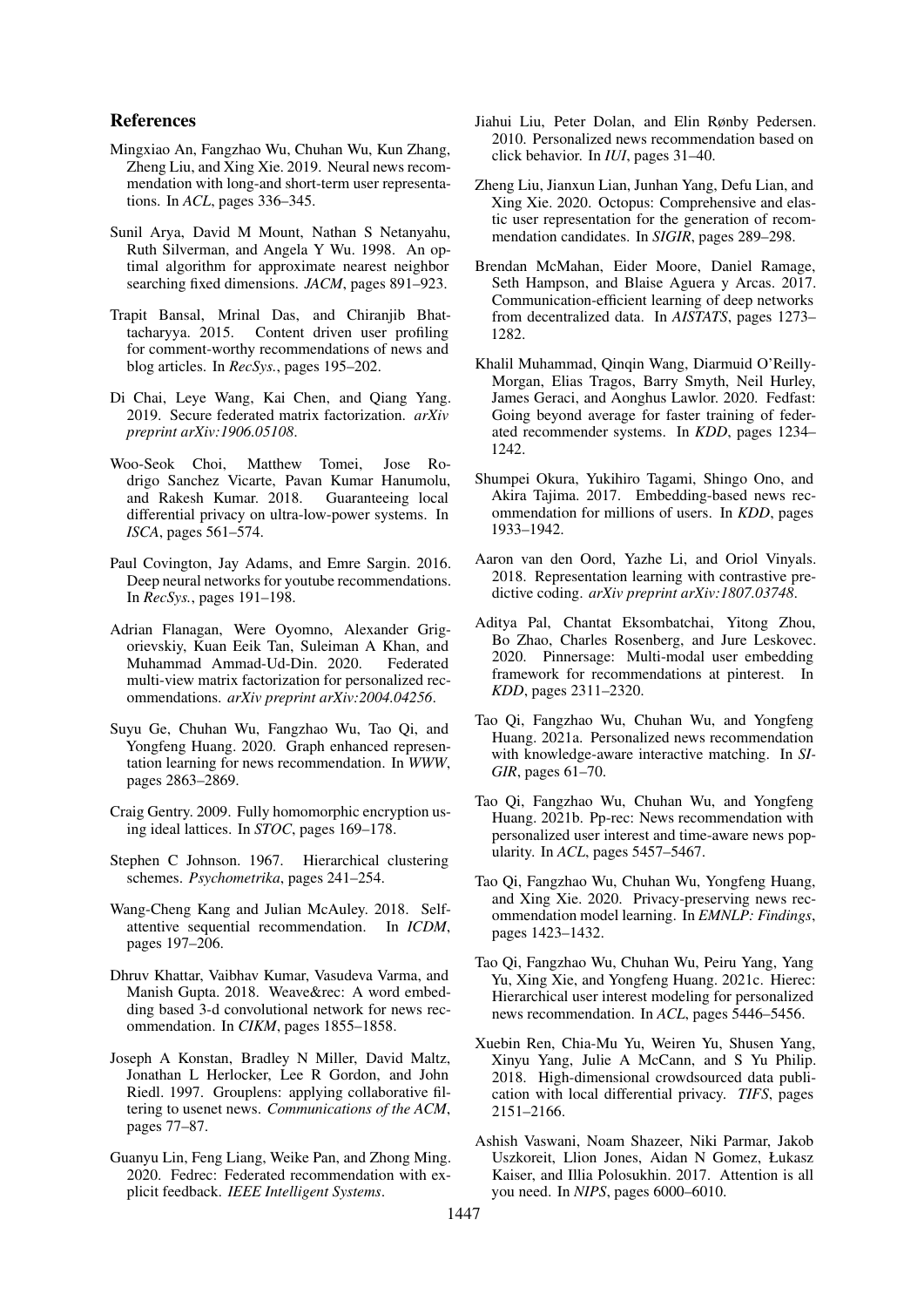# References

- <span id="page-9-12"></span>Mingxiao An, Fangzhao Wu, Chuhan Wu, Kun Zhang, Zheng Liu, and Xing Xie. 2019. Neural news recommendation with long-and short-term user representations. In *ACL*, pages 336–345.
- <span id="page-9-22"></span>Sunil Arya, David M Mount, Nathan S Netanyahu, Ruth Silverman, and Angela Y Wu. 1998. An optimal algorithm for approximate nearest neighbor searching fixed dimensions. *JACM*, pages 891–923.
- <span id="page-9-10"></span>Trapit Bansal, Mrinal Das, and Chiranjib Bhattacharyya. 2015. Content driven user profiling for comment-worthy recommendations of news and blog articles. In *RecSys.*, pages 195–202.
- <span id="page-9-4"></span>Di Chai, Leye Wang, Kai Chen, and Qiang Yang. 2019. Secure federated matrix factorization. *arXiv preprint arXiv:1906.05108*.
- <span id="page-9-24"></span>Woo-Seok Choi, Matthew Tomei, Jose Rodrigo Sanchez Vicarte, Pavan Kumar Hanumolu, and Rakesh Kumar. 2018. Guaranteeing local differential privacy on ultra-low-power systems. In *ISCA*, pages 561–574.
- <span id="page-9-25"></span>Paul Covington, Jay Adams, and Emre Sargin. 2016. Deep neural networks for youtube recommendations. In *RecSys.*, pages 191–198.
- <span id="page-9-15"></span>Adrian Flanagan, Were Oyomno, Alexander Grigorievskiy, Kuan Eeik Tan, Suleiman A Khan, and Muhammad Ammad-Ud-Din. 2020. multi-view matrix factorization for personalized recommendations. *arXiv preprint arXiv:2004.04256*.
- <span id="page-9-2"></span>Suyu Ge, Chuhan Wu, Fangzhao Wu, Tao Qi, and Yongfeng Huang. 2020. Graph enhanced representation learning for news recommendation. In *WWW*, pages 2863–2869.
- <span id="page-9-17"></span>Craig Gentry. 2009. Fully homomorphic encryption using ideal lattices. In *STOC*, pages 169–178.
- <span id="page-9-21"></span>Stephen C Johnson. 1967. Hierarchical clustering schemes. *Psychometrika*, pages 241–254.
- <span id="page-9-26"></span>Wang-Cheng Kang and Julian McAuley. 2018. Selfattentive sequential recommendation. In *ICDM*, pages 197–206.
- <span id="page-9-13"></span>Dhruv Khattar, Vaibhav Kumar, Vasudeva Varma, and Manish Gupta. 2018. Weave&rec: A word embedding based 3-d convolutional network for news recommendation. In *CIKM*, pages 1855–1858.
- <span id="page-9-8"></span>Joseph A Konstan, Bradley N Miller, David Maltz, Jonathan L Herlocker, Lee R Gordon, and John Riedl. 1997. Grouplens: applying collaborative filtering to usenet news. *Communications of the ACM*, pages 77–87.
- <span id="page-9-16"></span>Guanyu Lin, Feng Liang, Weike Pan, and Zhong Ming. 2020. Fedrec: Federated recommendation with explicit feedback. *IEEE Intelligent Systems*.
- <span id="page-9-9"></span>Jiahui Liu, Peter Dolan, and Elin Rønby Pedersen. 2010. Personalized news recommendation based on click behavior. In *IUI*, pages 31–40.
- <span id="page-9-19"></span>Zheng Liu, Jianxun Lian, Junhan Yang, Defu Lian, and Xing Xie. 2020. Octopus: Comprehensive and elastic user representation for the generation of recommendation candidates. In *SIGIR*, pages 289–298.
- <span id="page-9-6"></span>Brendan McMahan, Eider Moore, Daniel Ramage, Seth Hampson, and Blaise Aguera y Arcas. 2017. Communication-efficient learning of deep networks from decentralized data. In *AISTATS*, pages 1273– 1282.
- <span id="page-9-14"></span>Khalil Muhammad, Qinqin Wang, Diarmuid O'Reilly-Morgan, Elias Tragos, Barry Smyth, Neil Hurley, James Geraci, and Aonghus Lawlor. 2020. Fedfast: Going beyond average for faster training of federated recommender systems. In *KDD*, pages 1234– 1242.
- <span id="page-9-3"></span>Shumpei Okura, Yukihiro Tagami, Shingo Ono, and Akira Tajima. 2017. Embedding-based news recommendation for millions of users. In *KDD*, pages 1933–1942.
- <span id="page-9-23"></span>Aaron van den Oord, Yazhe Li, and Oriol Vinyals. 2018. Representation learning with contrastive predictive coding. *arXiv preprint arXiv:1807.03748*.
- <span id="page-9-7"></span>Aditya Pal, Chantat Eksombatchai, Yitong Zhou, Bo Zhao, Charles Rosenberg, and Jure Leskovec. 2020. Pinnersage: Multi-modal user embedding framework for recommendations at pinterest. In *KDD*, pages 2311–2320.
- <span id="page-9-1"></span>Tao Qi, Fangzhao Wu, Chuhan Wu, and Yongfeng Huang. 2021a. Personalized news recommendation with knowledge-aware interactive matching. In *SI-GIR*, pages 61–70.
- <span id="page-9-0"></span>Tao Qi, Fangzhao Wu, Chuhan Wu, and Yongfeng Huang. 2021b. Pp-rec: News recommendation with personalized user interest and time-aware news popularity. In *ACL*, pages 5457–5467.
- <span id="page-9-5"></span>Tao Qi, Fangzhao Wu, Chuhan Wu, Yongfeng Huang, and Xing Xie. 2020. Privacy-preserving news recommendation model learning. In *EMNLP: Findings*, pages 1423–1432.
- <span id="page-9-11"></span>Tao Qi, Fangzhao Wu, Chuhan Wu, Peiru Yang, Yang Yu, Xing Xie, and Yongfeng Huang. 2021c. Hierec: Hierarchical user interest modeling for personalized news recommendation. In *ACL*, pages 5446–5456.
- <span id="page-9-18"></span>Xuebin Ren, Chia-Mu Yu, Weiren Yu, Shusen Yang, Xinyu Yang, Julie A McCann, and S Yu Philip. 2018. High-dimensional crowdsourced data publication with local differential privacy. *TIFS*, pages 2151–2166.
- <span id="page-9-20"></span>Ashish Vaswani, Noam Shazeer, Niki Parmar, Jakob Uszkoreit, Llion Jones, Aidan N Gomez, Łukasz Kaiser, and Illia Polosukhin. 2017. Attention is all you need. In *NIPS*, pages 6000–6010.